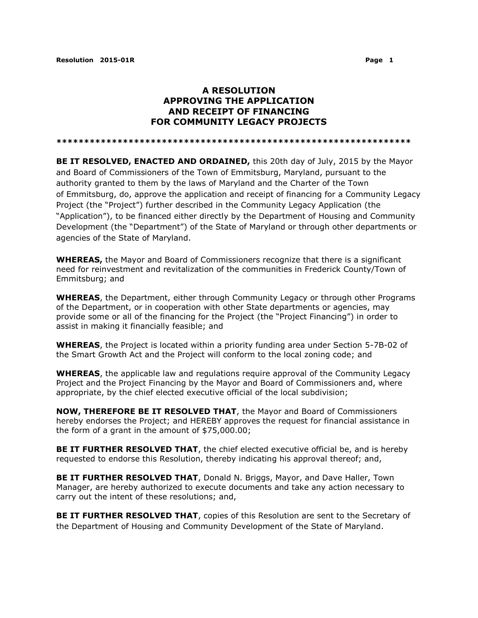## **A RESOLUTION APPROVING THE APPLICATION AND RECEIPT OF FINANCING FOR COMMUNITY LEGACY PROJECTS**

**\*\*\*\*\*\*\*\*\*\*\*\*\*\*\*\*\*\*\*\*\*\*\*\*\*\*\*\*\*\*\*\*\*\*\*\*\*\*\*\*\*\*\*\*\*\*\*\*\*\*\*\*\*\*\*\*\*\*\*\*\*\*\*\***

**BE IT RESOLVED, ENACTED AND ORDAINED,** this 20th day of July, 2015 by the Mayor and Board of Commissioners of the Town of Emmitsburg, Maryland, pursuant to the authority granted to them by the laws of Maryland and the Charter of the Town of Emmitsburg, do, approve the application and receipt of financing for a Community Legacy Project (the "Project") further described in the Community Legacy Application (the "Application"), to be financed either directly by the Department of Housing and Community Development (the "Department") of the State of Maryland or through other departments or agencies of the State of Maryland.

**WHEREAS,** the Mayor and Board of Commissioners recognize that there is a significant need for reinvestment and revitalization of the communities in Frederick County/Town of Emmitsburg; and

**WHEREAS**, the Department, either through Community Legacy or through other Programs of the Department, or in cooperation with other State departments or agencies, may provide some or all of the financing for the Project (the "Project Financing") in order to assist in making it financially feasible; and

**WHEREAS**, the Project is located within a priority funding area under Section 5-7B-02 of the Smart Growth Act and the Project will conform to the local zoning code; and

**WHEREAS**, the applicable law and regulations require approval of the Community Legacy Project and the Project Financing by the Mayor and Board of Commissioners and, where appropriate, by the chief elected executive official of the local subdivision;

**NOW, THEREFORE BE IT RESOLVED THAT**, the Mayor and Board of Commissioners hereby endorses the Project; and HEREBY approves the request for financial assistance in the form of a grant in the amount of \$75,000.00;

**BE IT FURTHER RESOLVED THAT**, the chief elected executive official be, and is hereby requested to endorse this Resolution, thereby indicating his approval thereof; and,

**BE IT FURTHER RESOLVED THAT**, Donald N. Briggs, Mayor, and Dave Haller, Town Manager, are hereby authorized to execute documents and take any action necessary to carry out the intent of these resolutions; and,

**BE IT FURTHER RESOLVED THAT**, copies of this Resolution are sent to the Secretary of the Department of Housing and Community Development of the State of Maryland.